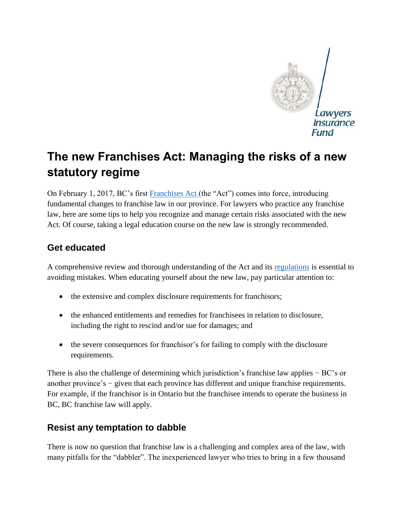

# **The new Franchises Act: Managing the risks of a new statutory regime**

On February 1, 2017, BC's first [Franchises Act](https://www.leg.bc.ca/parliamentary-business/legislation-debates-proceedings/40th-parliament/4th-session/bills/first-reading/gov38-1) (the "Act") comes into force, introducing fundamental changes to franchise law in our province. For lawyers who practice any franchise law, here are some tips to help you recognize and manage certain risks associated with the new Act. Of course, taking a legal education course on the new law is strongly recommended.

#### **Get educated**

A comprehensive review and thorough understanding of the Act and its [regulations](http://www2.gov.bc.ca/assets/gov/employment-business-and-economic-development/business-management/small-business/franchises_regulation.pdf) is essential to avoiding mistakes. When educating yourself about the new law, pay particular attention to:

- the extensive and complex disclosure requirements for franchisors;
- the enhanced entitlements and remedies for franchisees in relation to disclosure, including the right to rescind and/or sue for damages; and
- the severe consequences for franchisor's for failing to comply with the disclosure requirements.

There is also the challenge of determining which jurisdiction's franchise law applies − BC's or another province's − given that each province has different and unique franchise requirements. For example, if the franchisor is in Ontario but the franchisee intends to operate the business in BC, BC franchise law will apply.

#### **Resist any temptation to dabble**

There is now no question that franchise law is a challenging and complex area of the law, with many pitfalls for the "dabbler". The inexperienced lawyer who tries to bring in a few thousand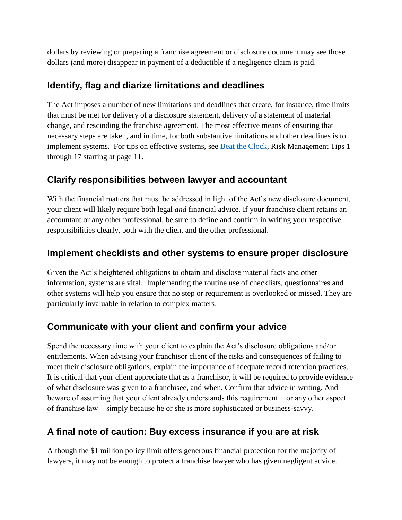dollars by reviewing or preparing a franchise agreement or disclosure document may see those dollars (and more) disappear in payment of a deductible if a negligence claim is paid.

### **Identify, flag and diarize limitations and deadlines**

The Act imposes a number of new limitations and deadlines that create, for instance, time limits that must be met for delivery of a disclosure statement, delivery of a statement of material change, and rescinding the franchise agreement. The most effective means of ensuring that necessary steps are taken, and in time, for both substantive limitations and other deadlines is to implement systems. For tips on effective systems, see [Beat the Clock,](https://www.lawsociety.bc.ca/docs/insurance/beat-the-clock.PDF) Risk Management Tips 1 through 17 starting at page 11.

# **Clarify responsibilities between lawyer and accountant**

With the financial matters that must be addressed in light of the Act's new disclosure document, your client will likely require both legal *and* financial advice. If your franchise client retains an accountant or any other professional, be sure to define and confirm in writing your respective responsibilities clearly, both with the client and the other professional.

### **Implement checklists and other systems to ensure proper disclosure**

Given the Act's heightened obligations to obtain and disclose material facts and other information, systems are vital. Implementing the routine use of checklists, questionnaires and other systems will help you ensure that no step or requirement is overlooked or missed. They are particularly invaluable in relation to complex matters.

# **Communicate with your client and confirm your advice**

Spend the necessary time with your client to explain the Act's disclosure obligations and/or entitlements. When advising your franchisor client of the risks and consequences of failing to meet their disclosure obligations, explain the importance of adequate record retention practices. It is critical that your client appreciate that as a franchisor, it will be required to provide evidence of what disclosure was given to a franchisee, and when. Confirm that advice in writing. And beware of assuming that your client already understands this requirement − or any other aspect of franchise law − simply because he or she is more sophisticated or business-savvy.

# **A final note of caution: Buy excess insurance if you are at risk**

Although the \$1 million policy limit offers generous financial protection for the majority of lawyers, it may not be enough to protect a franchise lawyer who has given negligent advice.